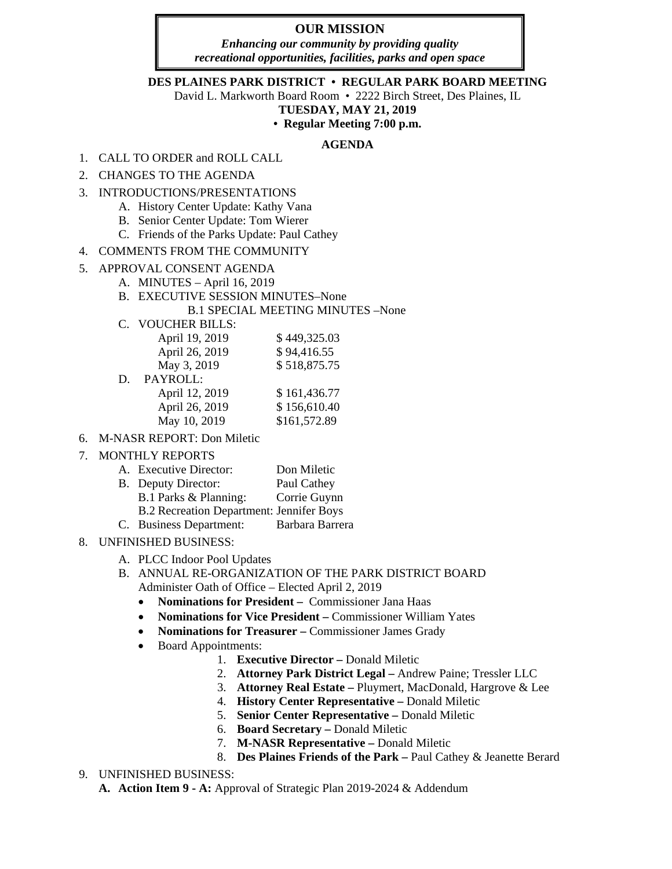## **OUR MISSION**

*Enhancing our community by providing quality recreational opportunities, facilities, parks and open space*

### **DES PLAINES PARK DISTRICT • REGULAR PARK BOARD MEETING**

David L. Markworth Board Room • 2222 Birch Street, Des Plaines, IL

# **TUESDAY, MAY 21, 2019**

### **• Regular Meeting 7:00 p.m.**

### **AGENDA**

- 1. CALL TO ORDER and ROLL CALL
- 2. CHANGES TO THE AGENDA
- 3. INTRODUCTIONS/PRESENTATIONS
	- A. History Center Update: Kathy Vana
	- B. Senior Center Update: Tom Wierer
	- C. Friends of the Parks Update: Paul Cathey
- 4. COMMENTS FROM THE COMMUNITY
- 5. APPROVAL CONSENT AGENDA
	- A. MINUTES April 16, 2019
		- B. EXECUTIVE SESSION MINUTES–None B.1 SPECIAL MEETING MINUTES –None
		- C. VOUCHER BILLS:

|    | April 19, 2019 | \$449,325.03 |
|----|----------------|--------------|
|    | April 26, 2019 | \$94,416.55  |
|    | May 3, 2019    | \$518,875.75 |
| D. | PAYROLL:       |              |
|    | April 12, 2019 | \$161,436.77 |
|    | April 26, 2019 | \$156,610.40 |
|    | May 10, 2019   | \$161,572.89 |
|    |                |              |

- 6. M-NASR REPORT: Don Miletic
- 7. MONTHLY REPORTS

| Don Miletic<br><b>Executive Director:</b><br>A. |
|-------------------------------------------------|
|                                                 |

- B. Deputy Director: Paul Cathey
- B.1 Parks & Planning: Corrie Guynn
	- B.2 Recreation Department: Jennifer Boys
- C. Business Department: Barbara Barrera
- 8. UNFINISHED BUSINESS:
	- A. PLCC Indoor Pool Updates
	- B. ANNUAL RE-ORGANIZATION OF THE PARK DISTRICT BOARD Administer Oath of Office – Elected April 2, 2019
		- **Nominations for President –** Commissioner Jana Haas
		- **Nominations for Vice President –** Commissioner William Yates
		- **Nominations for Treasurer –** Commissioner James Grady
		- Board Appointments:
			- 1. **Executive Director –** Donald Miletic
			- 2. **Attorney Park District Legal –** Andrew Paine; Tressler LLC
			- 3. **Attorney Real Estate –** Pluymert, MacDonald, Hargrove & Lee
			- 4. **History Center Representative –** Donald Miletic
			- 5. **Senior Center Representative –** Donald Miletic
			- 6. **Board Secretary –** Donald Miletic
			- 7. **M-NASR Representative –** Donald Miletic
			- 8. **Des Plaines Friends of the Park –** Paul Cathey & Jeanette Berard

### 9. UNFINISHED BUSINESS:

**A. Action Item 9 - A:** Approval of Strategic Plan 2019-2024 & Addendum